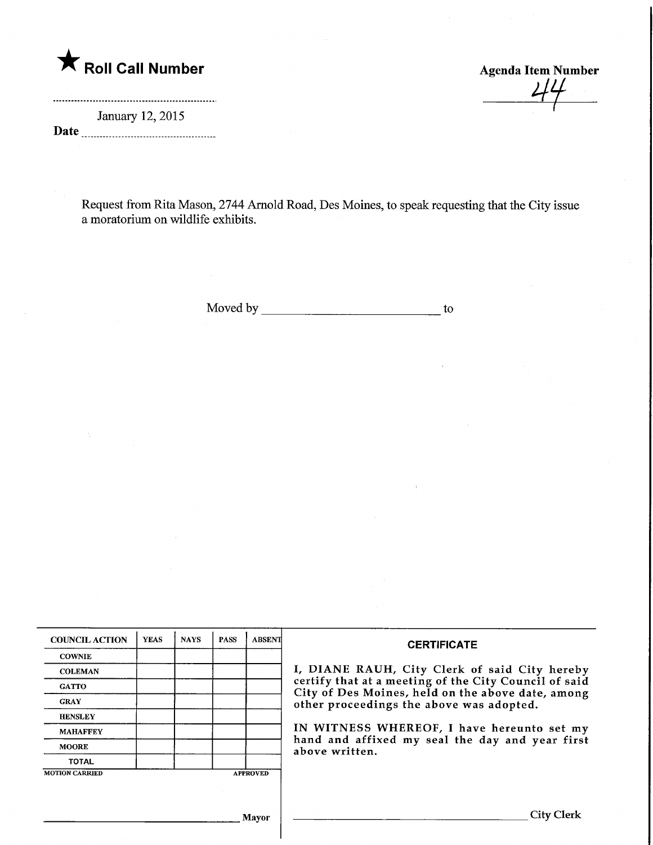

January 12, 2015 Date

Request from Rita Mason, 2744 Arnold Road, Des Moines, to speak requesting that the City issue a moratorium on wildlife exhibits.

Moved by to

|                       | <b>YEAS</b> | <b>NAYS</b> | <b>PASS</b> | <b>ABSENT</b>   | <b>CERTIFICATE</b>                                                                                         |  |  |
|-----------------------|-------------|-------------|-------------|-----------------|------------------------------------------------------------------------------------------------------------|--|--|
| <b>COWNIE</b>         |             |             |             |                 |                                                                                                            |  |  |
| <b>COLEMAN</b>        |             |             |             |                 | I, DIANE RAUH, City Clerk of said City hereby                                                              |  |  |
| <b>GATTO</b>          |             |             |             |                 | certify that at a meeting of the City Council of said<br>City of Des Moines, held on the above date, among |  |  |
| <b>GRAY</b>           |             |             |             |                 | other proceedings the above was adopted.                                                                   |  |  |
| <b>HENSLEY</b>        |             |             |             |                 |                                                                                                            |  |  |
| <b>MAHAFFEY</b>       |             |             |             |                 | IN WITNESS WHEREOF, I have hereunto set my                                                                 |  |  |
| <b>MOORE</b>          |             |             |             |                 | hand and affixed my seal the day and year first<br>above written.                                          |  |  |
| <b>TOTAL</b>          |             |             |             |                 |                                                                                                            |  |  |
| <b>MOTION CARRIED</b> |             |             |             | <b>APPROVED</b> |                                                                                                            |  |  |
|                       |             |             |             |                 |                                                                                                            |  |  |
|                       |             |             |             | Mayor           | City Clerk                                                                                                 |  |  |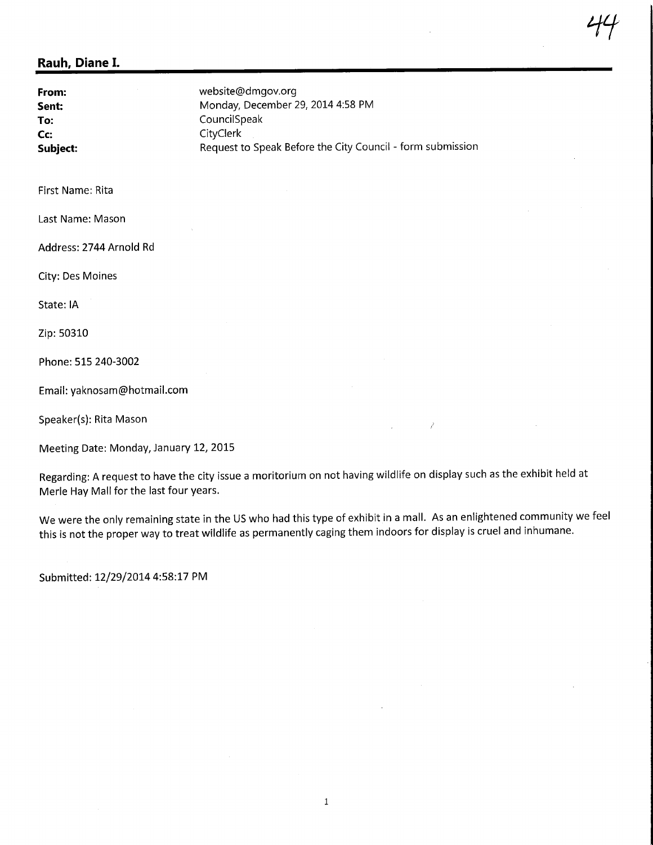From: Sent: To: Cc: Subject: website@dmgov.org Monday, December 29, 2014 4:58 PM CouncilSpeak **CityClerk** Request to Speak Before the City Council - form submission

First Name: Rita

Last Name: Mason

Address: 2744 Arnold Rd

City: Des Moines

State: IA

Zip: 50310

Phone: 515 240-3002

Email: yaknosam@hotmail.com

Speaker(s): Rita Mason

Meeting Date: Monday, January 12, 2015

Regarding: A request to have the city issue a moritorium on not having wildlife on display such as the exhibit held at Merle Hay Mail for the last four years.

We were the only remaining state in the US who had this type of exhibit in a mall. As an enlightened community we feel this is not the proper way to treat wildlife as permanently caging them indoors for display is cruel and inhumane.

Submitted: 12/29/20144:58:17 PM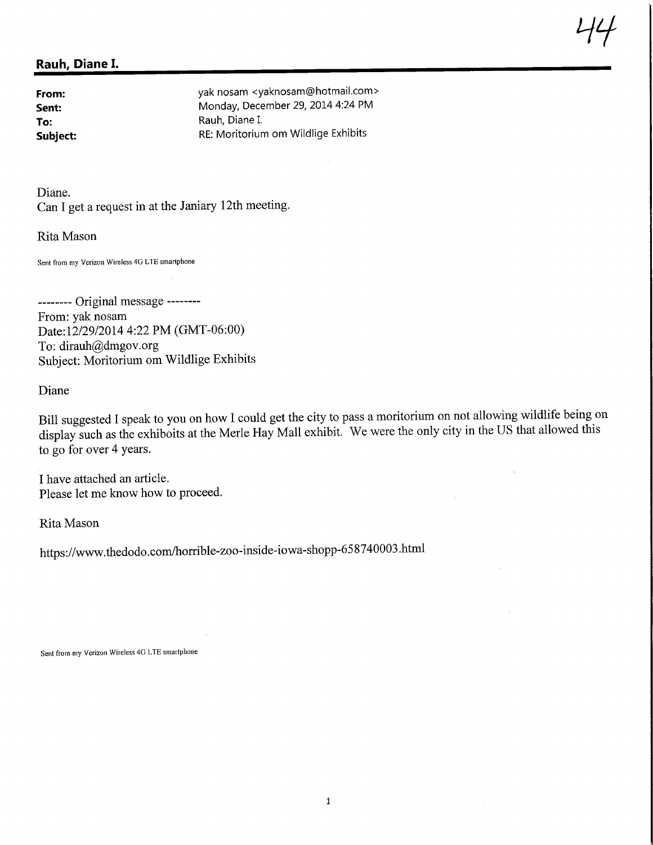From: yak nosam <yaknosam@hotmail.com> Sent: Monday, December 29, 2014 4:24 PM To: Rauh, Diane I.<br>
Subject: Subject: RE: Moritoriur RE: Moritorium om Wildlige Exhibits

 $\frac{1}{4}$ 

Diane. Can I get a request in at the Janiary 12th meeting.

Rita Mason

Sent from my Verizon Wireless 4G LTE smartphone

------- Original message --------From: yak nosam Date: 12/29/2014 4:22 PM (GMT-06:00) To: dirauh@dmgov.org Subject: Moritorium om Wildlige Exhibits

Diane

Bill suggested I speak to you on how I could get the city to pass a moritorium on not allowing wildlife being on display such as the exhiboits at the Merle Hay Mall exhibit. We were the only city in the US that allowed this to go for over 4 years.

I have attached an article. Please let me know how to proceed.

Rita Mason

https://www.thedodo.com/horrible-zoo-inside-iowa-shopp-658740003.html

Sent from my Verizon Wireless 40 LTE smartphone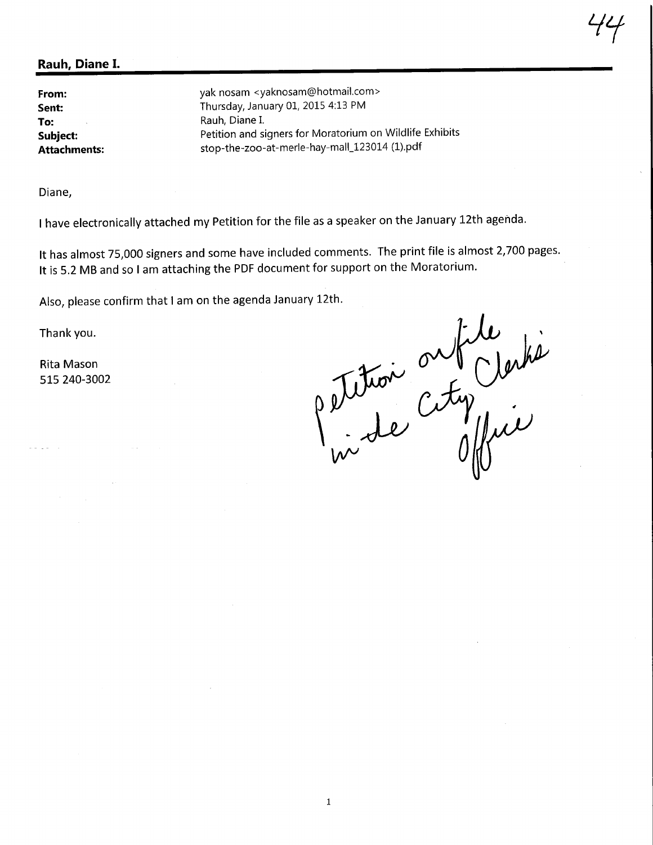From: Sent: To: Subject: Attachments: yak nosam <yaknosam@hotmail.com> Thursday, January 01, 2015 4:13 PM Rauh, Diane I. Petition and signers for Moratorium on Wildlife Exhibits stop-the-zoo-at-merle-hay-mall\_123014(l).pdf

Diane,

I have electronically attached my Petition for the file as a speaker on the January 12th agenda.

It has almost 75,000 signers and some have included comments. The print file is almost 2,700 pages. It is 5.2 MB and so I am attaching the PDF document for support on the Moratorium.

Also, please confirm that I am on the agenda January 12th.

Thank you.

Rita Mason 515 240-3002

 $C$ M $\gamma$  $\mathcal{W}^{\vee}$ 

 $\ddot{t}$